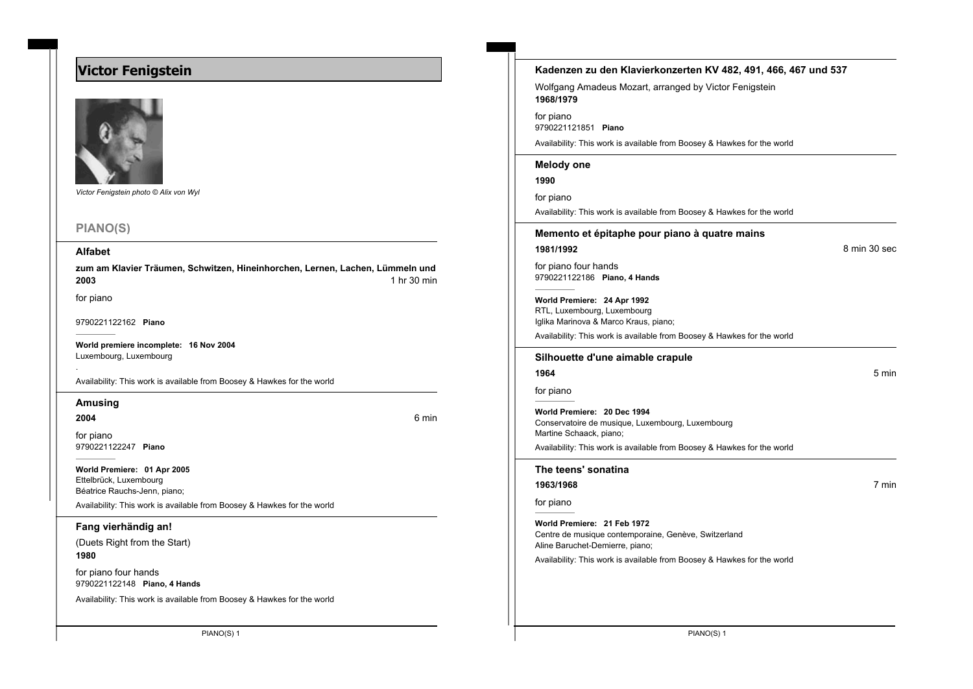# **Victor Fenigstein**



*Victor Fenigstein photo © Alix von Wyl*

# **PIANO(S)**

#### **Alfabet**

zum am Klavier Träumen, Schwitzen, Hineinhorchen, Lernen, Lachen, Lümmeln und **2003** 1 hr 30 min

for piano

9790221122162 **Piano**

**World premiere incomplete: 16 Nov 2004** Luxembourg, Luxembourg

Availability: This work is available from Boosey & Hawkes for the world

### **Amusing**

**2004** 6 min

.

for piano

9790221122247 **Piano**

**World Premiere: 01 Apr 2005** Ettelbrück, Luxembourg Béatrice Rauchs-Jenn, piano;

Availability: This work is available from Boosey & Hawkes for the world

**Fang vierhändig an!**

(Duets Right from the Start) **1980**

for piano four hands 9790221122148 **Piano, 4 Hands**

Availability: This work is available from Boosey & Hawkes for the world

| Kadenzen zu den Klavierkonzerten KV 482, 491, 466, 467 und 537                          |
|-----------------------------------------------------------------------------------------|
| Wolfgang Amadeus Mozart, arranged by Victor Fenigstein<br>1968/1979                     |
| for piano<br>9790221121851 Piano                                                        |
| Availability: This work is available from Boosey & Hawkes for the world                 |
| <b>Melody one</b>                                                                       |
| 1990                                                                                    |
| for piano                                                                               |
| Availability: This work is available from Boosey & Hawkes for the world                 |
| Memento et épitaphe pour piano à quatre mains                                           |
| 8 min 30 sec<br>1981/1992                                                               |
| for piano four hands                                                                    |
| 9790221122186 Piano, 4 Hands                                                            |
| World Premiere: 24 Apr 1992                                                             |
| RTL, Luxembourg, Luxembourg<br>Iglika Marinova & Marco Kraus, piano;                    |
| Availability: This work is available from Boosey & Hawkes for the world                 |
|                                                                                         |
| Silhouette d'une aimable crapule                                                        |
| 1964<br>5 min                                                                           |
| for piano                                                                               |
| World Premiere: 20 Dec 1994                                                             |
| Conservatoire de musique, Luxembourg, Luxembourg<br>Martine Schaack, piano;             |
| Availability: This work is available from Boosey & Hawkes for the world                 |
| The teens' sonatina                                                                     |
| 7 min<br>1963/1968                                                                      |
| for piano                                                                               |
| World Premiere: 21 Feb 1972                                                             |
| Centre de musique contemporaine, Genève, Switzerland<br>Aline Baruchet-Demierre, piano; |
| Availability: This work is available from Boosey & Hawkes for the world                 |
|                                                                                         |
|                                                                                         |